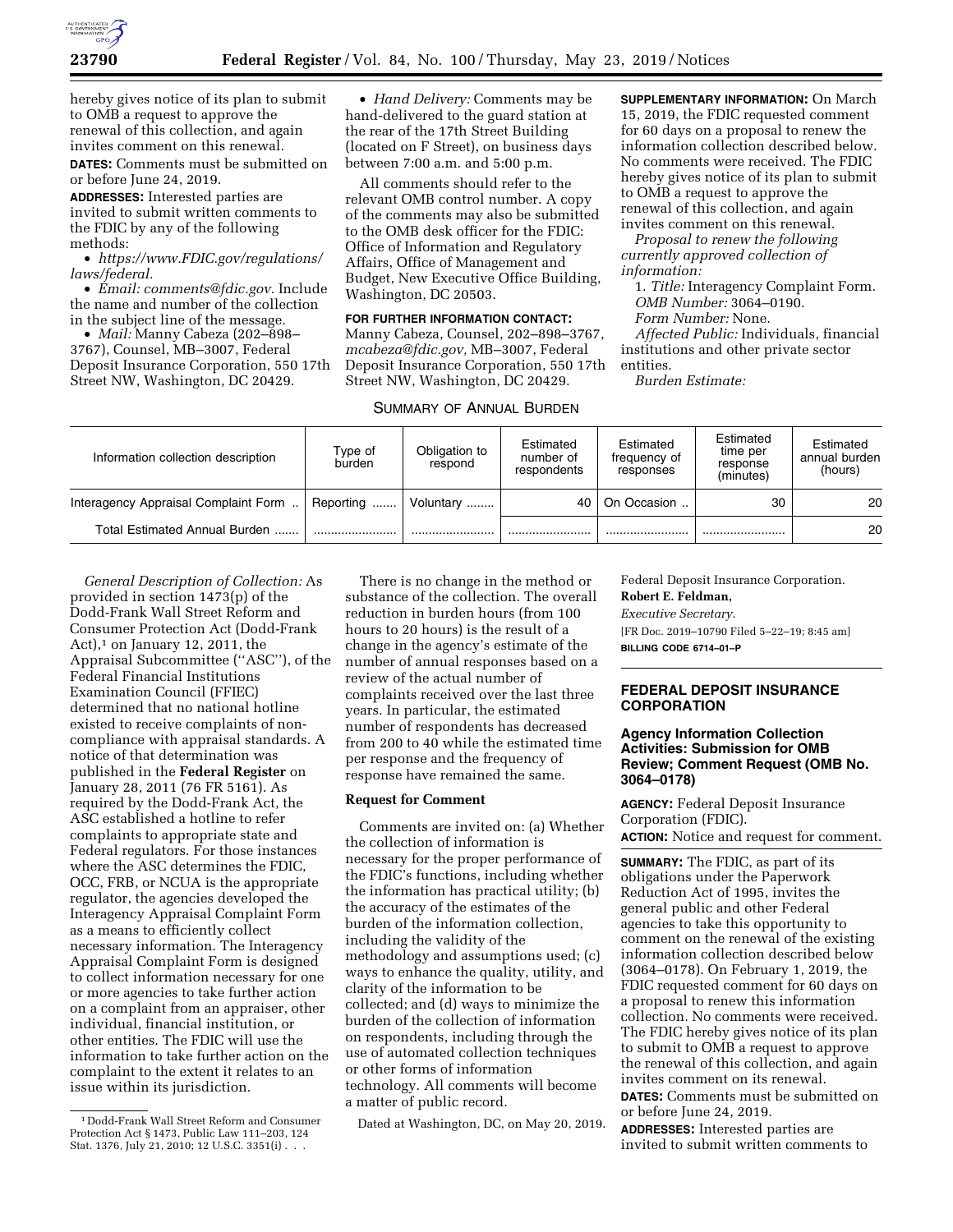

hereby gives notice of its plan to submit to OMB a request to approve the renewal of this collection, and again invites comment on this renewal.

**DATES:** Comments must be submitted on or before June 24, 2019.

**ADDRESSES:** Interested parties are invited to submit written comments to the FDIC by any of the following methods:

• *[https://www.FDIC.gov/regulations/](https://www.FDIC.gov/regulations/laws/federal) [laws/federal.](https://www.FDIC.gov/regulations/laws/federal)* 

• *Email: [comments@fdic.gov.](mailto:comments@fdic.gov)* Include the name and number of the collection in the subject line of the message.

• *Mail:* Manny Cabeza (202–898– 3767), Counsel, MB–3007, Federal Deposit Insurance Corporation, 550 17th Street NW, Washington, DC 20429.

• *Hand Delivery:* Comments may be hand-delivered to the guard station at the rear of the 17th Street Building (located on F Street), on business days between 7:00 a.m. and 5:00 p.m.

All comments should refer to the relevant OMB control number. A copy of the comments may also be submitted to the OMB desk officer for the FDIC: Office of Information and Regulatory Affairs, Office of Management and Budget, New Executive Office Building, Washington, DC 20503.

**FOR FURTHER INFORMATION CONTACT:**  Manny Cabeza, Counsel, 202–898–3767, *[mcabeza@fdic.gov,](mailto:mcabeza@fdic.gov)* MB–3007, Federal Deposit Insurance Corporation, 550 17th Street NW, Washington, DC 20429.

#### SUMMARY OF ANNUAL BURDEN

**SUPPLEMENTARY INFORMATION:** On March 15, 2019, the FDIC requested comment for 60 days on a proposal to renew the information collection described below. No comments were received. The FDIC hereby gives notice of its plan to submit to OMB a request to approve the renewal of this collection, and again invites comment on this renewal.

*Proposal to renew the following currently approved collection of information:* 

1. *Title:* Interagency Complaint Form. *OMB Number:* 3064–0190.

*Form Number:* None.

*Affected Public:* Individuals, financial institutions and other private sector entities.

*Burden Estimate:* 

| Information collection description   | Type of<br>burden | Obligation to<br>respond | Estimated<br>number of<br>respondents | Estimated<br>frequency of<br>responses | Estimated<br>time per<br>response<br>(minutes) | Estimated<br>annual burden<br>(hours) |
|--------------------------------------|-------------------|--------------------------|---------------------------------------|----------------------------------------|------------------------------------------------|---------------------------------------|
| Interagency Appraisal Complaint Form | Reporting         | Voluntary                | 40                                    | On Occasion                            | 30                                             | 20                                    |
| Total Estimated Annual Burden        |                   |                          |                                       |                                        |                                                | 20                                    |

*General Description of Collection:* As provided in section 1473(p) of the Dodd-Frank Wall Street Reform and Consumer Protection Act (Dodd-Frank Act), $1$  on January 12, 2011, the Appraisal Subcommittee (''ASC''), of the Federal Financial Institutions Examination Council (FFIEC) determined that no national hotline existed to receive complaints of noncompliance with appraisal standards. A notice of that determination was published in the **Federal Register** on January 28, 2011 (76 FR 5161). As required by the Dodd-Frank Act, the ASC established a hotline to refer complaints to appropriate state and Federal regulators. For those instances where the ASC determines the FDIC, OCC, FRB, or NCUA is the appropriate regulator, the agencies developed the Interagency Appraisal Complaint Form as a means to efficiently collect necessary information. The Interagency Appraisal Complaint Form is designed to collect information necessary for one or more agencies to take further action on a complaint from an appraiser, other individual, financial institution, or other entities. The FDIC will use the information to take further action on the complaint to the extent it relates to an issue within its jurisdiction.

There is no change in the method or substance of the collection. The overall reduction in burden hours (from 100 hours to 20 hours) is the result of a change in the agency's estimate of the number of annual responses based on a review of the actual number of complaints received over the last three years. In particular, the estimated number of respondents has decreased from 200 to 40 while the estimated time per response and the frequency of response have remained the same.

#### **Request for Comment**

Comments are invited on: (a) Whether the collection of information is necessary for the proper performance of the FDIC's functions, including whether the information has practical utility; (b) the accuracy of the estimates of the burden of the information collection, including the validity of the methodology and assumptions used; (c) ways to enhance the quality, utility, and clarity of the information to be collected; and (d) ways to minimize the burden of the collection of information on respondents, including through the use of automated collection techniques or other forms of information technology. All comments will become a matter of public record.

Dated at Washington, DC, on May 20, 2019.

Federal Deposit Insurance Corporation.

**Robert E. Feldman,** 

*Executive Secretary.*  [FR Doc. 2019–10790 Filed 5–22–19; 8:45 am] **BILLING CODE 6714–01–P** 

#### **FEDERAL DEPOSIT INSURANCE CORPORATION**

#### **Agency Information Collection Activities: Submission for OMB Review; Comment Request (OMB No. 3064–0178)**

**AGENCY:** Federal Deposit Insurance Corporation (FDIC). **ACTION:** Notice and request for comment.

**SUMMARY:** The FDIC, as part of its obligations under the Paperwork Reduction Act of 1995, invites the general public and other Federal agencies to take this opportunity to comment on the renewal of the existing information collection described below (3064–0178). On February 1, 2019, the FDIC requested comment for 60 days on a proposal to renew this information collection. No comments were received. The FDIC hereby gives notice of its plan to submit to OMB a request to approve the renewal of this collection, and again invites comment on its renewal. **DATES:** Comments must be submitted on or before June 24, 2019.

**ADDRESSES:** Interested parties are invited to submit written comments to

<sup>1</sup> Dodd-Frank Wall Street Reform and Consumer Protection Act § 1473, Public Law 111–203, 124 Stat. 1376, July 21, 2010; 12 U.S.C. 3351(i) . . .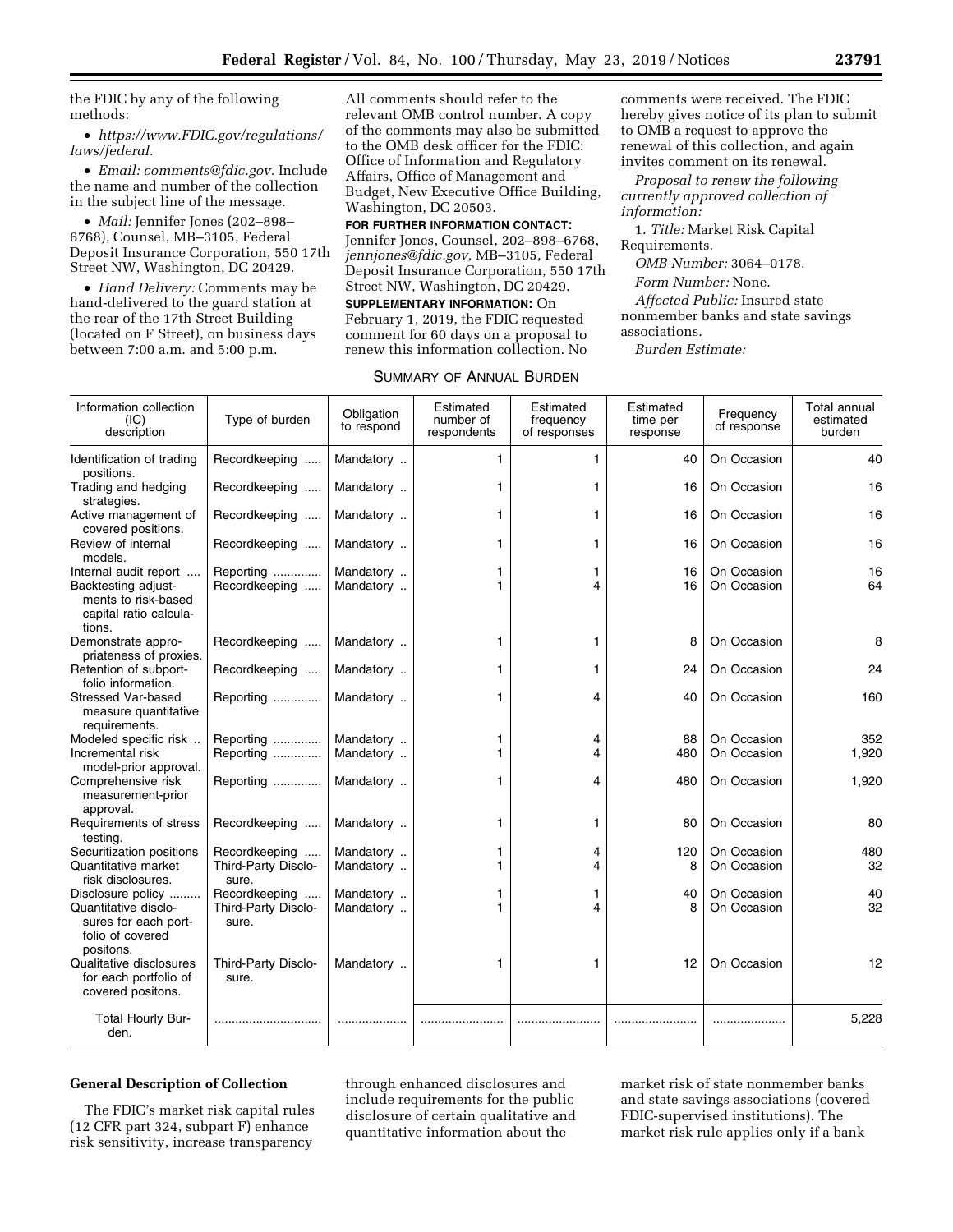the FDIC by any of the following methods:

• *[https://www.FDIC.gov/regulations/](https://www.FDIC.gov/regulations/laws/federal) [laws/federal.](https://www.FDIC.gov/regulations/laws/federal)* 

• *Email: [comments@fdic.gov.](mailto:comments@fdic.gov)* Include the name and number of the collection in the subject line of the message.

• *Mail:* Jennifer Jones (202–898– 6768), Counsel, MB–3105, Federal Deposit Insurance Corporation, 550 17th Street NW, Washington, DC 20429.

• *Hand Delivery:* Comments may be hand-delivered to the guard station at the rear of the 17th Street Building (located on F Street), on business days between 7:00 a.m. and 5:00 p.m.

All comments should refer to the relevant OMB control number. A copy of the comments may also be submitted to the OMB desk officer for the FDIC: Office of Information and Regulatory Affairs, Office of Management and Budget, New Executive Office Building, Washington, DC 20503.

**FOR FURTHER INFORMATION CONTACT:**  Jennifer Jones, Counsel, 202–898–6768,

*[jennjones@fdic.gov,](mailto:jennjones@fdic.gov)* MB–3105, Federal Deposit Insurance Corporation, 550 17th Street NW, Washington, DC 20429.

**SUPPLEMENTARY INFORMATION:** On February 1, 2019, the FDIC requested comment for 60 days on a proposal to renew this information collection. No

| SUMMARY OF ANNUAL BURDEN |  |  |  |
|--------------------------|--|--|--|
|--------------------------|--|--|--|

comments were received. The FDIC hereby gives notice of its plan to submit to OMB a request to approve the renewal of this collection, and again invites comment on its renewal.

*Proposal to renew the following currently approved collection of information:* 

1. *Title:* Market Risk Capital Requirements.

*OMB Number:* 3064–0178.

*Form Number:* None.

*Affected Public:* Insured state nonmember banks and state savings associations.

*Burden Estimate:* 

| Information collection<br>(IC)<br>description                                  | Type of burden               | Obligation<br>to respond | Estimated<br>number of<br>respondents | Estimated<br>frequency<br>of responses | Estimated<br>time per<br>response | Frequency<br>of response | Total annual<br>estimated<br>burden |
|--------------------------------------------------------------------------------|------------------------------|--------------------------|---------------------------------------|----------------------------------------|-----------------------------------|--------------------------|-------------------------------------|
| Identification of trading<br>positions.                                        | Recordkeeping                | Mandatory                | 1                                     | 1                                      | 40                                | On Occasion              | 40                                  |
| Trading and hedging<br>strategies.                                             | Recordkeeping                | Mandatory                | 1                                     | 1                                      | 16                                | On Occasion              | 16                                  |
| Active management of<br>covered positions.                                     | Recordkeeping                | Mandatory                | 1                                     | 1                                      | 16                                | On Occasion              | 16                                  |
| Review of internal<br>models.                                                  | Recordkeeping                | Mandatory                | 1                                     | 1                                      | 16                                | On Occasion              | 16                                  |
| Internal audit report                                                          | Reporting                    | Mandatory                | 1                                     | 1                                      | 16                                | On Occasion              | 16                                  |
| Backtesting adjust-<br>ments to risk-based<br>capital ratio calcula-<br>tions. | Recordkeeping                | Mandatory                | 1                                     | 4                                      | 16                                | On Occasion              | 64                                  |
| Demonstrate appro-<br>priateness of proxies.                                   | Recordkeeping                | Mandatory                | 1                                     | 1                                      | 8                                 | On Occasion              | 8                                   |
| Retention of subport-<br>folio information.                                    | Recordkeeping                | Mandatory                | 1                                     | 1                                      | 24                                | On Occasion              | 24                                  |
| <b>Stressed Var-based</b><br>measure quantitative<br>requirements.             | Reporting                    | Mandatory                | 1                                     | 4                                      | 40                                | On Occasion              | 160                                 |
| Modeled specific risk                                                          | Reporting                    | Mandatory                | 1                                     | 4                                      | 88                                | On Occasion              | 352                                 |
| Incremental risk<br>model-prior approval.                                      | Reporting                    | Mandatory                | 1                                     | 4                                      | 480                               | On Occasion              | 1,920                               |
| Comprehensive risk<br>measurement-prior<br>approval.                           | Reporting                    | Mandatory                | 1                                     | 4                                      | 480                               | On Occasion              | 1,920                               |
| Requirements of stress<br>testing.                                             | Recordkeeping                | Mandatory                | 1                                     | 1                                      | 80                                | On Occasion              | 80                                  |
| Securitization positions                                                       | Recordkeeping                | Mandatory                | 1                                     | 4                                      | 120                               | On Occasion              | 480                                 |
| Quantitative market<br>risk disclosures.                                       | Third-Party Disclo-<br>sure. | Mandatory                |                                       | 4                                      | 8                                 | On Occasion              | 32                                  |
| Disclosure policy                                                              | Recordkeeping                | Mandatory                | 1                                     | 1                                      | 40                                | On Occasion              | 40                                  |
| Quantitative disclo-<br>sures for each port-<br>folio of covered<br>positons.  | Third-Party Disclo-<br>sure. | Mandatory                | 1                                     | 4                                      | 8                                 | On Occasion              | 32                                  |
| Qualitative disclosures<br>for each portfolio of<br>covered positons.          | Third-Party Disclo-<br>sure. | Mandatory                | 1                                     | 1                                      | 12                                | On Occasion              | 12                                  |
| Total Hourly Bur-<br>den.                                                      |                              |                          |                                       |                                        |                                   |                          | 5,228                               |

## **General Description of Collection**

The FDIC's market risk capital rules (12 CFR part 324, subpart F) enhance risk sensitivity, increase transparency

through enhanced disclosures and include requirements for the public disclosure of certain qualitative and quantitative information about the

market risk of state nonmember banks and state savings associations (covered FDIC-supervised institutions). The market risk rule applies only if a bank